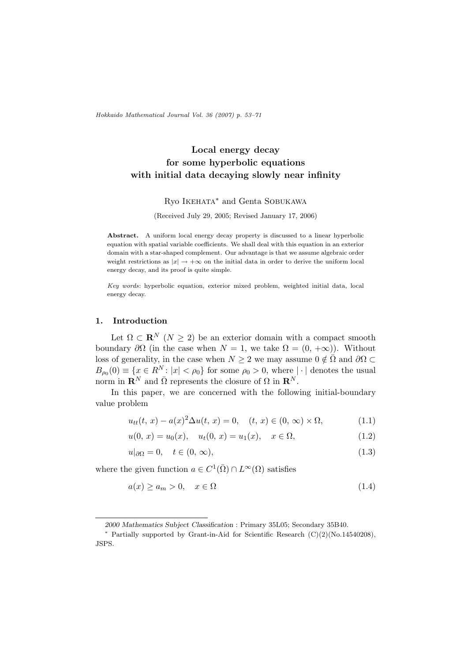Hokkaido Mathematical Journal Vol. 36 (2007) p. 53–71

# Local energy decay for some hyperbolic equations with initial data decaying slowly near infinity

### Ryo Ikehata<sup>∗</sup> and Genta Sobukawa

(Received July 29, 2005; Revised January 17, 2006)

Abstract. A uniform local energy decay property is discussed to a linear hyperbolic equation with spatial variable coefficients. We shall deal with this equation in an exterior domain with a star-shaped complement. Our advantage is that we assume algebraic order weight restrictions as  $|x| \to +\infty$  on the initial data in order to derive the uniform local energy decay, and its proof is quite simple.

Key words: hyperbolic equation, exterior mixed problem, weighted initial data, local energy decay.

#### 1. Introduction

Let  $\Omega \subset \mathbf{R}^N$   $(N \geq 2)$  be an exterior domain with a compact smooth boundary  $\partial\Omega$  (in the case when  $N = 1$ , we take  $\Omega = (0, +\infty)$ ). Without loss of generality, in the case when  $N \geq 2$  we may assume  $0 \notin \overline{\Omega}$  and  $\partial \Omega \subset$  $B_{\rho_0}(0) \equiv \{x \in \mathbb{R}^N : |x| < \rho_0\}$  for some  $\rho_0 > 0$ , where  $|\cdot|$  denotes the usual norm in  $\mathbf{R}^{N}$  and  $\overline{\Omega}$  represents the closure of  $\Omega$  in  $\mathbf{R}^{N}$ .

In this paper, we are concerned with the following initial-boundary value problem

$$
u_{tt}(t, x) - a(x)^2 \Delta u(t, x) = 0, \quad (t, x) \in (0, \infty) \times \Omega,
$$
 (1.1)

$$
u(0, x) = u_0(x), \quad u_t(0, x) = u_1(x), \quad x \in \Omega,
$$
\n
$$
(1.2)
$$

$$
u|_{\partial\Omega} = 0, \quad t \in (0, \infty), \tag{1.3}
$$

where the given function  $a \in C^1(\overline{\Omega}) \cap L^\infty(\Omega)$  satisfies

$$
a(x) \ge a_m > 0, \quad x \in \Omega \tag{1.4}
$$

<sup>2000</sup> Mathematics Subject Classification : Primary 35L05; Secondary 35B40.

<sup>∗</sup> Partially supported by Grant-in-Aid for Scientific Research (C)(2)(No.14540208), JSPS.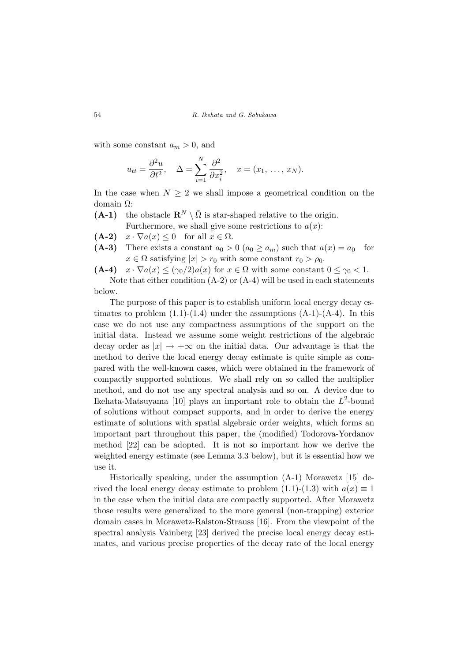with some constant  $a_m > 0$ , and

$$
u_{tt} = \frac{\partial^2 u}{\partial t^2}, \quad \Delta = \sum_{i=1}^N \frac{\partial^2}{\partial x_i^2}, \quad x = (x_1, \dots, x_N).
$$

In the case when  $N \geq 2$  we shall impose a geometrical condition on the domain Ω:

(A-1) the obstacle  $\mathbf{R}^N \setminus \overline{\Omega}$  is star-shaped relative to the origin.

Furthermore, we shall give some restrictions to  $a(x)$ :

- (A-2)  $x \cdot \nabla a(x) \leq 0$  for all  $x \in \Omega$ .
- (A-3) There exists a constant  $a_0 > 0$   $(a_0 \ge a_m)$  such that  $a(x) = a_0$  for  $x \in \Omega$  satisfying  $|x| > r_0$  with some constant  $r_0 > \rho_0$ .
- (A-4)  $x \cdot \nabla a(x) \leq (\gamma_0/2) a(x)$  for  $x \in \Omega$  with some constant  $0 \leq \gamma_0 < 1$ .

Note that either condition  $(A-2)$  or  $(A-4)$  will be used in each statements below.

The purpose of this paper is to establish uniform local energy decay estimates to problem  $(1.1)-(1.4)$  under the assumptions  $(A-1)-(A-4)$ . In this case we do not use any compactness assumptions of the support on the initial data. Instead we assume some weight restrictions of the algebraic decay order as  $|x| \to +\infty$  on the initial data. Our advantage is that the method to derive the local energy decay estimate is quite simple as compared with the well-known cases, which were obtained in the framework of compactly supported solutions. We shall rely on so called the multiplier method, and do not use any spectral analysis and so on. A device due to Ikehata-Matsuyama [10] plays an important role to obtain the  $L^2$ -bound of solutions without compact supports, and in order to derive the energy estimate of solutions with spatial algebraic order weights, which forms an important part throughout this paper, the (modified) Todorova-Yordanov method [22] can be adopted. It is not so important how we derive the weighted energy estimate (see Lemma 3.3 below), but it is essential how we use it.

Historically speaking, under the assumption (A-1) Morawetz [15] derived the local energy decay estimate to problem (1.1)-(1.3) with  $a(x) \equiv 1$ in the case when the initial data are compactly supported. After Morawetz those results were generalized to the more general (non-trapping) exterior domain cases in Morawetz-Ralston-Strauss [16]. From the viewpoint of the spectral analysis Vainberg [23] derived the precise local energy decay estimates, and various precise properties of the decay rate of the local energy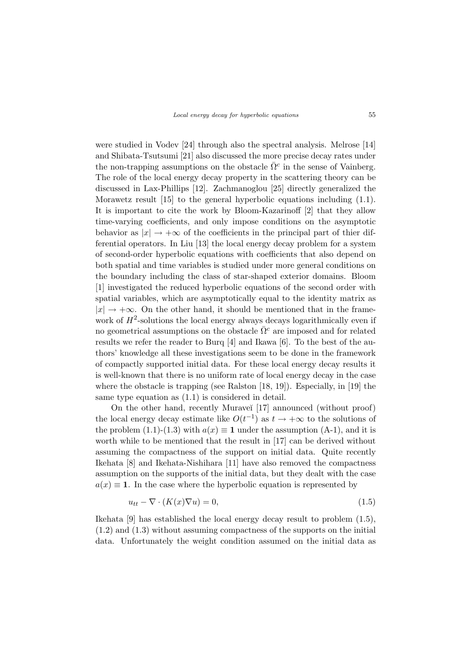were studied in Vodev [24] through also the spectral analysis. Melrose [14] and Shibata-Tsutsumi [21] also discussed the more precise decay rates under the non-trapping assumptions on the obstacle  $\bar{\Omega}^c$  in the sense of Vainberg. The role of the local energy decay property in the scattering theory can be discussed in Lax-Phillips [12]. Zachmanoglou [25] directly generalized the Morawetz result [15] to the general hyperbolic equations including (1.1). It is important to cite the work by Bloom-Kazarinoff [2] that they allow time-varying coefficients, and only impose conditions on the asymptotic behavior as  $|x| \to +\infty$  of the coefficients in the principal part of thier differential operators. In Liu [13] the local energy decay problem for a system of second-order hyperbolic equations with coefficients that also depend on both spatial and time variables is studied under more general conditions on the boundary including the class of star-shaped exterior domains. Bloom [1] investigated the reduced hyperbolic equations of the second order with spatial variables, which are asymptotically equal to the identity matrix as  $|x| \rightarrow +\infty$ . On the other hand, it should be mentioned that in the framework of  $H^2$ -solutions the local energy always decays logarithmically even if no geometrical assumptions on the obstacle  $\overline{\Omega}{}^c$  are imposed and for related results we refer the reader to Burq [4] and Ikawa [6]. To the best of the authors' knowledge all these investigations seem to be done in the framework of compactly supported initial data. For these local energy decay results it is well-known that there is no uniform rate of local energy decay in the case where the obstacle is trapping (see Ralston  $[18, 19]$ ). Especially, in [19] the same type equation as (1.1) is considered in detail.

On the other hand, recently Muraveĭ [17] announced (without proof) the local energy decay estimate like  $O(t^{-1})$  as  $t \to +\infty$  to the solutions of the problem (1.1)-(1.3) with  $a(x) \equiv 1$  under the assumption (A-1), and it is worth while to be mentioned that the result in [17] can be derived without assuming the compactness of the support on initial data. Quite recently Ikehata [8] and Ikehata-Nishihara [11] have also removed the compactness assumption on the supports of the initial data, but they dealt with the case  $a(x) \equiv 1$ . In the case where the hyperbolic equation is represented by

$$
u_{tt} - \nabla \cdot (K(x)\nabla u) = 0,\t\t(1.5)
$$

Ikehata [9] has established the local energy decay result to problem (1.5), (1.2) and (1.3) without assuming compactness of the supports on the initial data. Unfortunately the weight condition assumed on the initial data as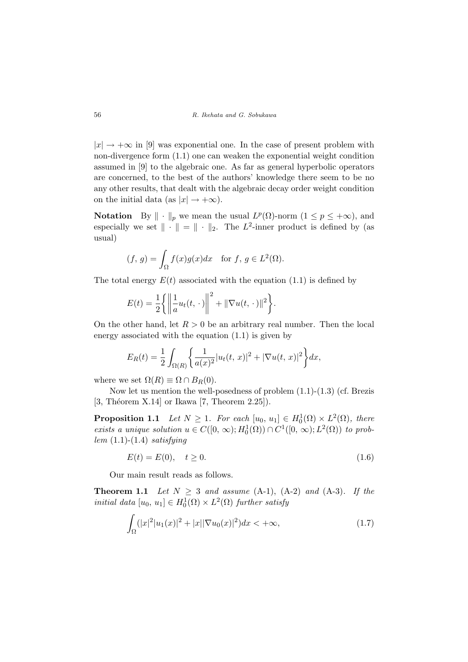$|x| \rightarrow +\infty$  in [9] was exponential one. In the case of present problem with non-divergence form (1.1) one can weaken the exponential weight condition assumed in [9] to the algebraic one. As far as general hyperbolic operators are concerned, to the best of the authors' knowledge there seem to be no any other results, that dealt with the algebraic decay order weight condition on the initial data (as  $|x| \rightarrow +\infty$ ).

**Notation** By  $\|\cdot\|_p$  we mean the usual  $L^p(\Omega)$ -norm  $(1 \leq p \leq +\infty)$ , and especially we set  $\|\cdot\| = \|\cdot\|_2$ . The L<sup>2</sup>-inner product is defined by (as usual)

$$
(f, g) = \int_{\Omega} f(x)g(x)dx \text{ for } f, g \in L^{2}(\Omega).
$$

The total energy  $E(t)$  associated with the equation (1.1) is defined by

$$
E(t) = \frac{1}{2} \left\{ \left\| \frac{1}{a} u_t(t, \cdot) \right\|^2 + \|\nabla u(t, \cdot)\|^2 \right\}.
$$

On the other hand, let  $R > 0$  be an arbitrary real number. Then the local energy associated with the equation (1.1) is given by

$$
E_R(t) = \frac{1}{2} \int_{\Omega(R)} \left\{ \frac{1}{a(x)^2} |u_t(t, x)|^2 + |\nabla u(t, x)|^2 \right\} dx,
$$

where we set  $\Omega(R) \equiv \Omega \cap B_R(0)$ .

Now let us mention the well-posedness of problem (1.1)-(1.3) (cf. Brezis [3, Théorem X.14] or Ikawa [7, Theorem 2.25]).

**Proposition 1.1** Let  $N \geq 1$ . For each  $[u_0, u_1] \in H_0^1(\Omega) \times L^2(\Omega)$ , there exists a unique solution  $u \in C([0, \infty); H_0^1(\Omega)) \cap C^1([0, \infty); L^2(\Omega))$  to problem  $(1.1)-(1.4)$  satisfying

$$
E(t) = E(0), \quad t \ge 0. \tag{1.6}
$$

Our main result reads as follows.

**Theorem 1.1** Let  $N \geq 3$  and assume (A-1), (A-2) and (A-3). If the initial data  $[u_0, u_1] \in H_0^1(\Omega) \times L^2(\Omega)$  further satisfy

$$
\int_{\Omega} (|x|^2 |u_1(x)|^2 + |x||\nabla u_0(x)|^2) dx < +\infty,
$$
\n(1.7)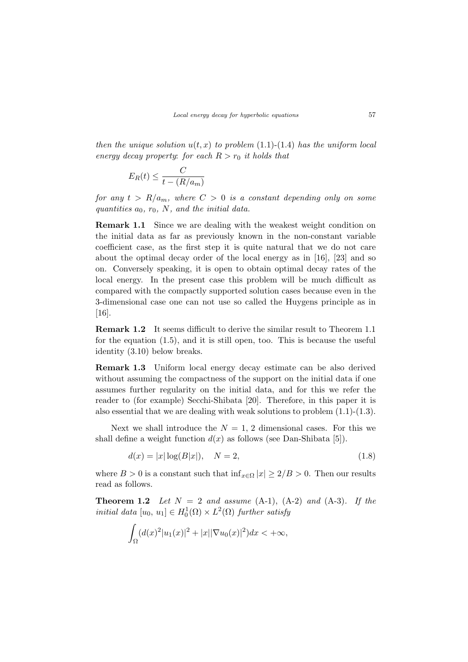then the unique solution  $u(t, x)$  to problem (1.1)-(1.4) has the uniform local energy decay property: for each  $R > r_0$  it holds that

$$
E_R(t) \le \frac{C}{t - (R/a_m)}
$$

for any  $t > R/a_m$ , where  $C > 0$  is a constant depending only on some quantities  $a_0$ ,  $r_0$ , N, and the initial data.

Remark 1.1 Since we are dealing with the weakest weight condition on the initial data as far as previously known in the non-constant variable coefficient case, as the first step it is quite natural that we do not care about the optimal decay order of the local energy as in [16], [23] and so on. Conversely speaking, it is open to obtain optimal decay rates of the local energy. In the present case this problem will be much difficult as compared with the compactly supported solution cases because even in the 3-dimensional case one can not use so called the Huygens principle as in [16].

Remark 1.2 It seems difficult to derive the similar result to Theorem 1.1 for the equation (1.5), and it is still open, too. This is because the useful identity (3.10) below breaks.

Remark 1.3 Uniform local energy decay estimate can be also derived without assuming the compactness of the support on the initial data if one assumes further regularity on the initial data, and for this we refer the reader to (for example) Secchi-Shibata [20]. Therefore, in this paper it is also essential that we are dealing with weak solutions to problem  $(1.1)-(1.3)$ .

Next we shall introduce the  $N = 1, 2$  dimensional cases. For this we shall define a weight function  $d(x)$  as follows (see Dan-Shibata [5]).

$$
d(x) = |x| \log(B|x|), \quad N = 2,
$$
\n(1.8)

where  $B > 0$  is a constant such that  $\inf_{x \in \Omega} |x| \geq 2/B > 0$ . Then our results read as follows.

**Theorem 1.2** Let  $N = 2$  and assume  $(A-1)$ ,  $(A-2)$  and  $(A-3)$ . If the initial data  $[u_0, u_1] \in H_0^1(\Omega) \times L^2(\Omega)$  further satisfy

$$
\int_{\Omega} (d(x)^{2} |u_{1}(x)|^{2} + |x||\nabla u_{0}(x)|^{2}) dx < +\infty,
$$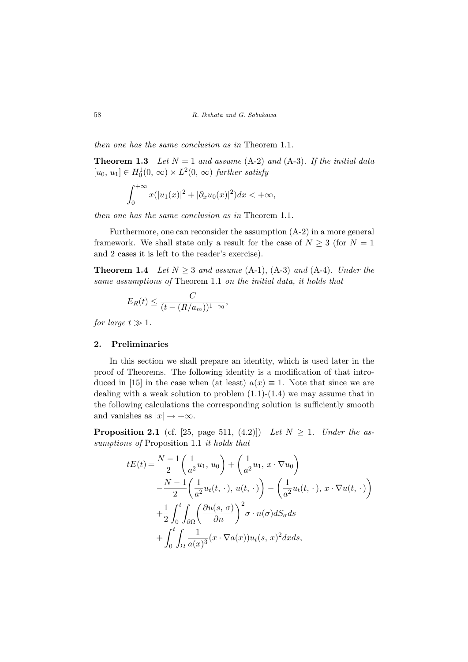then one has the same conclusion as in Theorem 1.1.

**Theorem 1.3** Let  $N = 1$  and assume (A-2) and (A-3). If the initial data  $[u_0, u_1] \in H_0^1(0, \infty) \times L^2(0, \infty)$  further satisfy

$$
\int_0^{+\infty} x(|u_1(x)|^2 + |\partial_x u_0(x)|^2) dx < +\infty,
$$

then one has the same conclusion as in Theorem 1.1.

Furthermore, one can reconsider the assumption (A-2) in a more general framework. We shall state only a result for the case of  $N \geq 3$  (for  $N = 1$ ) and 2 cases it is left to the reader's exercise).

**Theorem 1.4** Let  $N \geq 3$  and assume (A-1), (A-3) and (A-4). Under the same assumptions of Theorem 1.1 on the initial data, it holds that

$$
E_R(t) \le \frac{C}{(t - (R/a_m))^{1 - \gamma_0}},
$$

for large  $t \gg 1$ .

#### 2. Preliminaries

In this section we shall prepare an identity, which is used later in the proof of Theorems. The following identity is a modification of that introduced in [15] in the case when (at least)  $a(x) \equiv 1$ . Note that since we are dealing with a weak solution to problem  $(1.1)-(1.4)$  we may assume that in the following calculations the corresponding solution is sufficiently smooth and vanishes as  $|x| \rightarrow +\infty$ .

**Proposition 2.1** (cf. [25, page 511, (4.2)]) Let  $N \geq 1$ . Under the assumptions of Proposition 1.1 it holds that

$$
tE(t) = \frac{N-1}{2} \left( \frac{1}{a^2} u_1, u_0 \right) + \left( \frac{1}{a^2} u_1, x \cdot \nabla u_0 \right)
$$
  

$$
- \frac{N-1}{2} \left( \frac{1}{a^2} u_t(t, \cdot), u(t, \cdot) \right) - \left( \frac{1}{a^2} u_t(t, \cdot), x \cdot \nabla u(t, \cdot) \right)
$$
  

$$
+ \frac{1}{2} \int_0^t \int_{\partial \Omega} \left( \frac{\partial u(s, \sigma)}{\partial n} \right)^2 \sigma \cdot n(\sigma) dS_{\sigma} ds
$$
  

$$
+ \int_0^t \int_{\Omega} \frac{1}{a(x)^3} (x \cdot \nabla a(x)) u_t(s, x)^2 dx ds,
$$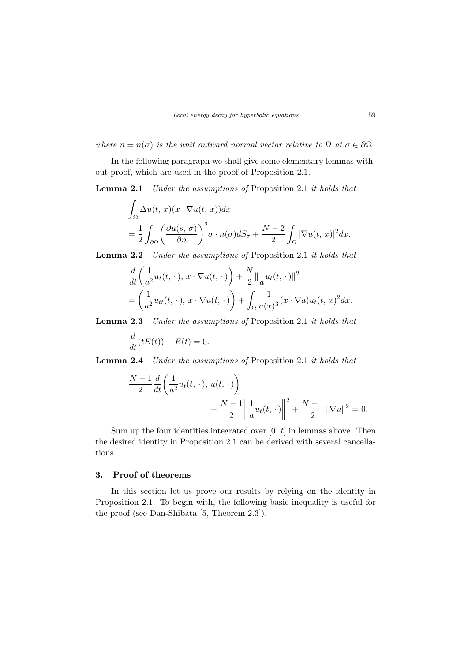where  $n = n(\sigma)$  is the unit outward normal vector relative to  $\Omega$  at  $\sigma \in \partial \Omega$ .

In the following paragraph we shall give some elementary lemmas without proof, which are used in the proof of Proposition 2.1.

Lemma 2.1 Under the assumptions of Proposition 2.1 it holds that

$$
\int_{\Omega} \Delta u(t, x)(x \cdot \nabla u(t, x)) dx
$$
  
=  $\frac{1}{2} \int_{\partial \Omega} \left( \frac{\partial u(s, \sigma)}{\partial n} \right)^2 \sigma \cdot n(\sigma) dS_{\sigma} + \frac{N-2}{2} \int_{\Omega} |\nabla u(t, x)|^2 dx.$ 

Lemma 2.2 Under the assumptions of Proposition 2.1 it holds that

$$
\frac{d}{dt}\left(\frac{1}{a^2}u_t(t,\cdot), x\cdot\nabla u(t,\cdot)\right) + \frac{N}{2}\left\|\frac{1}{a}u_t(t,\cdot)\right\|^2
$$
\n
$$
= \left(\frac{1}{a^2}u_{tt}(t,\cdot), x\cdot\nabla u(t,\cdot)\right) + \int_{\Omega}\frac{1}{a(x)^3}(x\cdot\nabla a)u_t(t,x)^2dx.
$$

Lemma 2.3 Under the assumptions of Proposition 2.1 it holds that

$$
\frac{d}{dt}(tE(t)) - E(t) = 0.
$$

Lemma 2.4 Under the assumptions of Proposition 2.1 it holds that

$$
\frac{N-1}{2} \frac{d}{dt} \left( \frac{1}{a^2} u_t(t, \cdot), u(t, \cdot) \right) - \frac{N-1}{2} \left\| \frac{1}{a} u_t(t, \cdot) \right\|^2 + \frac{N-1}{2} \|\nabla u\|^2 = 0.
$$

Sum up the four identities integrated over  $[0, t]$  in lemmas above. Then the desired identity in Proposition 2.1 can be derived with several cancellations.

#### 3. Proof of theorems

In this section let us prove our results by relying on the identity in Proposition 2.1. To begin with, the following basic inequality is useful for the proof (see Dan-Shibata [5, Theorem 2.3]).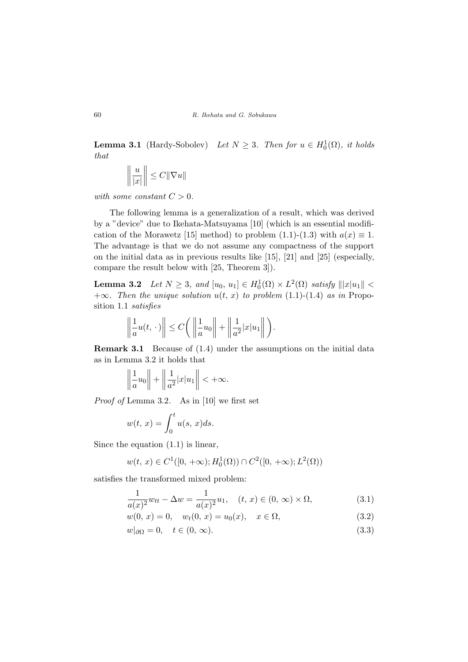**Lemma 3.1** (Hardy-Sobolev) Let  $N \geq 3$ . Then for  $u \in H_0^1(\Omega)$ , it holds that

$$
\left\|\frac{u}{|x|}\right\|\leq C\|\nabla u\|
$$

with some constant  $C > 0$ .

The following lemma is a generalization of a result, which was derived by a "device" due to Ikehata-Matsuyama [10] (which is an essential modification of the Morawetz [15] method) to problem (1.1)-(1.3) with  $a(x) \equiv 1$ . The advantage is that we do not assume any compactness of the support on the initial data as in previous results like [15], [21] and [25] (especially, compare the result below with [25, Theorem 3]).

**Lemma 3.2** Let  $N \geq 3$ , and  $[u_0, u_1] \in H_0^1(\Omega) \times L^2(\Omega)$  satisfy  $|||x| \leq$  $+\infty$ . Then the unique solution  $u(t, x)$  to problem (1.1)-(1.4) as in Proposition 1.1 satisfies

$$
\left\|\frac{1}{a}u(t,\,\cdot\,)\right\|\leq C\bigg(\left\|\frac{1}{a}u_0\right\|+\left\|\frac{1}{a^2}|x|u_1\right\|\bigg).
$$

Remark 3.1 Because of (1.4) under the assumptions on the initial data as in Lemma 3.2 it holds that

$$
\left\|\frac{1}{a}u_0\right\| + \left\|\frac{1}{a^2}|x|u_1\right\| < +\infty.
$$

Proof of Lemma 3.2. As in [10] we first set

$$
w(t, x) = \int_0^t u(s, x)ds.
$$

Since the equation  $(1.1)$  is linear,

$$
w(t, x) \in C^{1}([0, +\infty); H_0^1(\Omega)) \cap C^{2}([0, +\infty); L^2(\Omega))
$$

satisfies the transformed mixed problem:

$$
\frac{1}{a(x)^2}w_{tt} - \Delta w = \frac{1}{a(x)^2}u_1, \quad (t, x) \in (0, \infty) \times \Omega,
$$
 (3.1)

$$
w(0, x) = 0, \quad w_t(0, x) = u_0(x), \quad x \in \Omega,
$$
\n(3.2)

$$
w|_{\partial\Omega} = 0, \quad t \in (0, \infty). \tag{3.3}
$$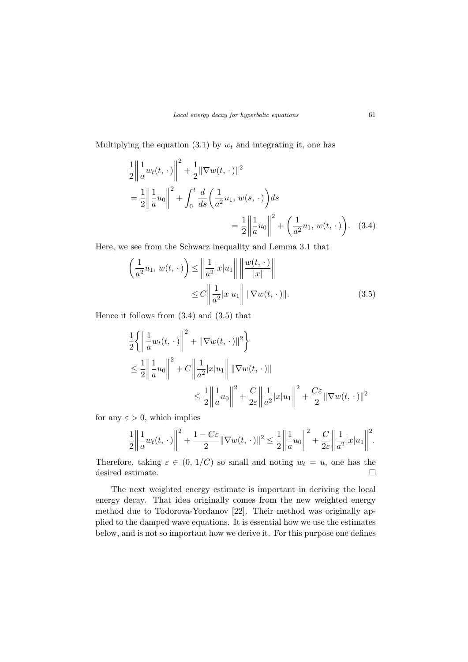Multiplying the equation  $(3.1)$  by  $w_t$  and integrating it, one has

$$
\frac{1}{2} \left\| \frac{1}{a} w_t(t, \cdot) \right\|^2 + \frac{1}{2} \|\nabla w(t, \cdot)\|^2
$$
\n
$$
= \frac{1}{2} \left\| \frac{1}{a} u_0 \right\|^2 + \int_0^t \frac{d}{ds} \left( \frac{1}{a^2} u_1, w(s, \cdot) \right) ds
$$
\n
$$
= \frac{1}{2} \left\| \frac{1}{a} u_0 \right\|^2 + \left( \frac{1}{a^2} u_1, w(t, \cdot) \right). \quad (3.4)
$$

Here, we see from the Schwarz inequality and Lemma 3.1 that

$$
\left(\frac{1}{a^2}u_1, w(t, \cdot)\right) \le \left\|\frac{1}{a^2}|x|u_1\right\| \left\|\frac{w(t, \cdot)}{|x|}\right\|
$$
  

$$
\le C \left\|\frac{1}{a^2}|x|u_1\right\| \|\nabla w(t, \cdot)\|.
$$
 (3.5)

Hence it follows from (3.4) and (3.5) that

$$
\frac{1}{2} \left\{ \left\| \frac{1}{a} w_t(t, \cdot) \right\|^2 + \|\nabla w(t, \cdot)\|^2 \right\}
$$
\n
$$
\leq \frac{1}{2} \left\| \frac{1}{a} u_0 \right\|^2 + C \left\| \frac{1}{a^2} |x| u_1 \right\| \|\nabla w(t, \cdot)\|
$$
\n
$$
\leq \frac{1}{2} \left\| \frac{1}{a} u_0 \right\|^2 + \frac{C}{2\varepsilon} \left\| \frac{1}{a^2} |x| u_1 \right\|^2 + \frac{C\varepsilon}{2} \|\nabla w(t, \cdot)\|^2
$$

for any  $\varepsilon > 0$ , which implies

$$
\frac{1}{2} \left\| \frac{1}{a} w_t(t, \cdot) \right\|^2 + \frac{1 - C\varepsilon}{2} \|\nabla w(t, \cdot)\|^2 \le \frac{1}{2} \left\| \frac{1}{a} u_0 \right\|^2 + \frac{C}{2\varepsilon} \left\| \frac{1}{a^2} |x| u_1 \right\|^2.
$$

Therefore, taking  $\varepsilon \in (0, 1/C)$  so small and noting  $w_t = u$ , one has the desired estimate.  $\hfill \square$ 

The next weighted energy estimate is important in deriving the local energy decay. That idea originally comes from the new weighted energy method due to Todorova-Yordanov [22]. Their method was originally applied to the damped wave equations. It is essential how we use the estimates below, and is not so important how we derive it. For this purpose one defines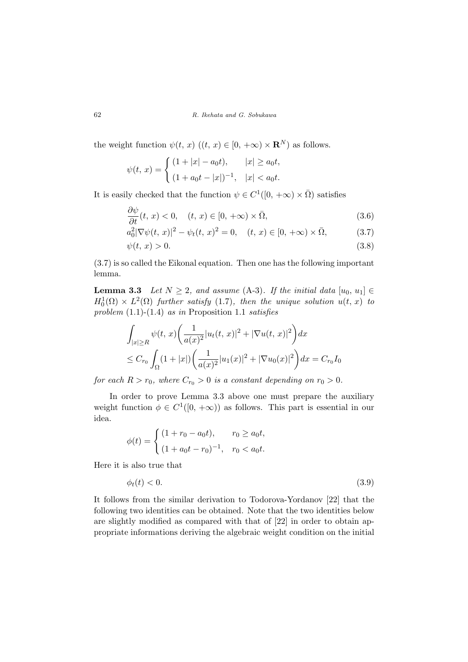the weight function  $\psi(t, x)$   $((t, x) \in [0, +\infty) \times \mathbb{R}^N)$  as follows.

$$
\psi(t, x) = \begin{cases} (1+|x|-a_0t), & |x| \ge a_0t, \\ (1+a_0t-|x|)^{-1}, & |x| < a_0t. \end{cases}
$$

It is easily checked that the function  $\psi \in C^1([0, +\infty) \times \bar{\Omega})$  satisfies

$$
\frac{\partial \psi}{\partial t}(t, x) < 0, \quad (t, x) \in [0, +\infty) \times \bar{\Omega}, \tag{3.6}
$$

$$
a_0^2 |\nabla \psi(t, x)|^2 - \psi_t(t, x)^2 = 0, \quad (t, x) \in [0, +\infty) \times \bar{\Omega},
$$
 (3.7)

$$
\psi(t,x) > 0. \tag{3.8}
$$

(3.7) is so called the Eikonal equation. Then one has the following important lemma.

**Lemma 3.3** Let  $N \geq 2$ , and assume (A-3). If the initial data  $[u_0, u_1] \in$  $H_0^1(\Omega) \times L^2(\Omega)$  further satisfy (1.7), then the unique solution  $u(t, x)$  to problem  $(1.1)-(1.4)$  as in Proposition 1.1 satisfies

$$
\int_{|x| \ge R} \psi(t, x) \left( \frac{1}{a(x)^2} |u_t(t, x)|^2 + |\nabla u(t, x)|^2 \right) dx
$$
  
\n
$$
\le C_{r_0} \int_{\Omega} (1 + |x|) \left( \frac{1}{a(x)^2} |u_1(x)|^2 + |\nabla u_0(x)|^2 \right) dx = C_{r_0} I_0
$$

for each  $R > r_0$ , where  $C_{r_0} > 0$  is a constant depending on  $r_0 > 0$ .

In order to prove Lemma 3.3 above one must prepare the auxiliary weight function  $\phi \in C^1([0, +\infty))$  as follows. This part is essential in our idea.

$$
\phi(t) = \begin{cases} (1 + r_0 - a_0 t), & r_0 \ge a_0 t, \\ (1 + a_0 t - r_0)^{-1}, & r_0 < a_0 t. \end{cases}
$$

Here it is also true that

$$
\phi_t(t) < 0. \tag{3.9}
$$

It follows from the similar derivation to Todorova-Yordanov [22] that the following two identities can be obtained. Note that the two identities below are slightly modified as compared with that of [22] in order to obtain appropriate informations deriving the algebraic weight condition on the initial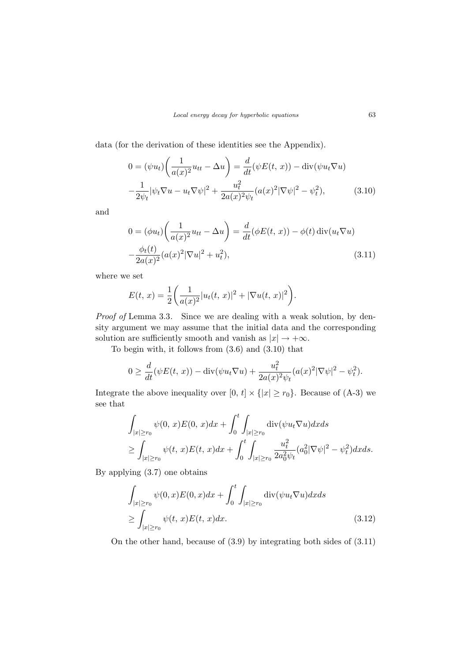data (for the derivation of these identities see the Appendix).

$$
0 = (\psi u_t) \left( \frac{1}{a(x)^2} u_{tt} - \Delta u \right) = \frac{d}{dt} (\psi E(t, x)) - \text{div}(\psi u_t \nabla u)
$$

$$
-\frac{1}{2\psi_t} |\psi_t \nabla u - u_t \nabla \psi|^2 + \frac{u_t^2}{2a(x)^2 \psi_t} (a(x)^2 |\nabla \psi|^2 - \psi_t^2), \tag{3.10}
$$

and

$$
0 = (\phi u_t) \left( \frac{1}{a(x)^2} u_{tt} - \Delta u \right) = \frac{d}{dt} (\phi E(t, x)) - \phi(t) \operatorname{div}(u_t \nabla u)
$$

$$
-\frac{\phi_t(t)}{2a(x)^2} (a(x)^2 |\nabla u|^2 + u_t^2), \tag{3.11}
$$

where we set

$$
E(t, x) = \frac{1}{2} \left( \frac{1}{a(x)^2} |u_t(t, x)|^2 + |\nabla u(t, x)|^2 \right).
$$

Proof of Lemma 3.3. Since we are dealing with a weak solution, by density argument we may assume that the initial data and the corresponding solution are sufficiently smooth and vanish as  $|x| \to +\infty$ .

To begin with, it follows from (3.6) and (3.10) that

$$
0 \ge \frac{d}{dt}(\psi E(t, x)) - \text{div}(\psi u_t \nabla u) + \frac{u_t^2}{2a(x)^2 \psi_t} (a(x)^2 |\nabla \psi|^2 - \psi_t^2).
$$

Integrate the above inequality over  $[0, t] \times \{|x| \ge r_0\}$ . Because of (A-3) we see that

$$
\int_{|x|\geq r_0} \psi(0, x)E(0, x)dx + \int_0^t \int_{|x|\geq r_0} \operatorname{div}(\psi u_t \nabla u)dx ds
$$
  
\n
$$
\geq \int_{|x|\geq r_0} \psi(t, x)E(t, x)dx + \int_0^t \int_{|x|\geq r_0} \frac{u_t^2}{2a_0^2 \psi_t} (a_0^2 |\nabla \psi|^2 - \psi_t^2)dx ds.
$$

By applying (3.7) one obtains

$$
\int_{|x| \ge r_0} \psi(0, x) E(0, x) dx + \int_0^t \int_{|x| \ge r_0} \operatorname{div}(\psi u_t \nabla u) dx ds
$$
\n
$$
\ge \int_{|x| \ge r_0} \psi(t, x) E(t, x) dx.
$$
\n(3.12)

On the other hand, because of (3.9) by integrating both sides of (3.11)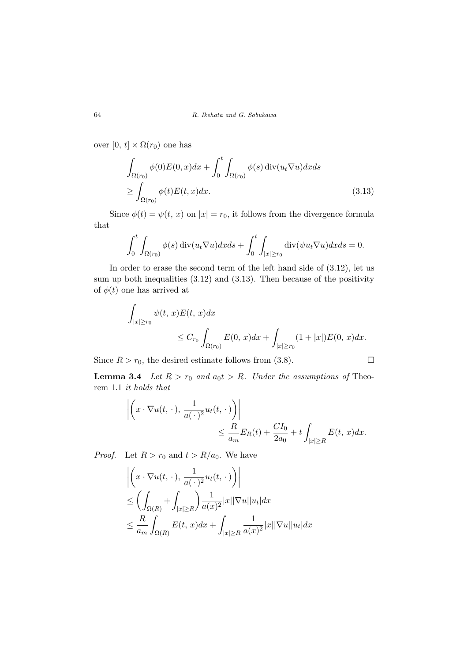over  $[0, t] \times \Omega(r_0)$  one has

$$
\int_{\Omega(r_0)} \phi(0)E(0, x)dx + \int_0^t \int_{\Omega(r_0)} \phi(s) \operatorname{div}(u_t \nabla u) dx ds
$$
\n
$$
\geq \int_{\Omega(r_0)} \phi(t)E(t, x)dx.
$$
\n(3.13)

Since  $\phi(t) = \psi(t, x)$  on  $|x| = r_0$ , it follows from the divergence formula that

$$
\int_0^t \int_{\Omega(r_0)} \phi(s) \operatorname{div}(u_t \nabla u) dx ds + \int_0^t \int_{|x| \ge r_0} \operatorname{div}(\psi u_t \nabla u) dx ds = 0.
$$

In order to erase the second term of the left hand side of (3.12), let us sum up both inequalities (3.12) and (3.13). Then because of the positivity of  $\phi(t)$  one has arrived at

$$
\int_{|x| \ge r_0} \psi(t, x) E(t, x) dx
$$
  
\n
$$
\le C_{r_0} \int_{\Omega(r_0)} E(0, x) dx + \int_{|x| \ge r_0} (1 + |x|) E(0, x) dx.
$$

Since  $R > r_0$ , the desired estimate follows from (3.8).

**Lemma 3.4** Let  $R > r_0$  and  $a_0 t > R$ . Under the assumptions of Theorem 1.1 it holds that

$$
\left| \left( x \cdot \nabla u(t, \cdot), \frac{1}{a(\cdot)^2} u_t(t, \cdot) \right) \right|
$$
  

$$
\leq \frac{R}{a_m} E_R(t) + \frac{CI_0}{2a_0} + t \int_{|x| \geq R} E(t, x) dx.
$$

*Proof.* Let  $R > r_0$  and  $t > R/a_0$ . We have

$$
\left| \left( x \cdot \nabla u(t, \cdot), \frac{1}{a(\cdot)^2} u_t(t, \cdot) \right) \right|
$$
  
\n
$$
\leq \left( \int_{\Omega(R)} + \int_{|x| \geq R} \right) \frac{1}{a(x)^2} |x| |\nabla u| |u_t| dx
$$
  
\n
$$
\leq \frac{R}{a_m} \int_{\Omega(R)} E(t, x) dx + \int_{|x| \geq R} \frac{1}{a(x)^2} |x| |\nabla u| |u_t| dx
$$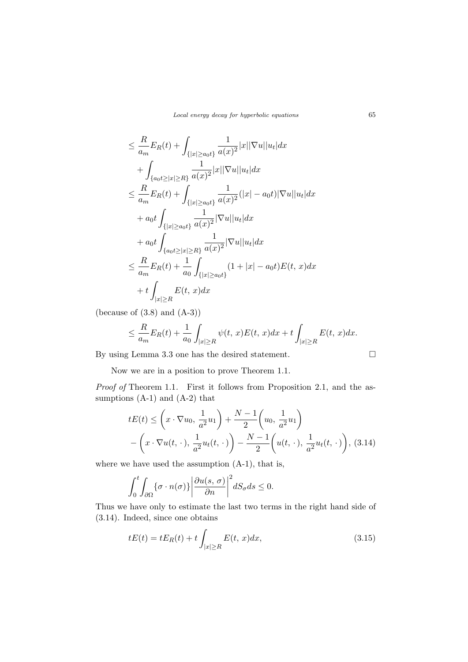$$
\leq \frac{R}{a_m} E_R(t) + \int_{\{|x| \geq a_0 t\}} \frac{1}{a(x)^2} |x| |\nabla u| |u_t| dx \n+ \int_{\{a_0 t \geq |x| \geq R\}} \frac{1}{a(x)^2} |x| |\nabla u| |u_t| dx \n\leq \frac{R}{a_m} E_R(t) + \int_{\{|x| \geq a_0 t\}} \frac{1}{a(x)^2} (|x| - a_0 t) |\nabla u| |u_t| dx \n+ a_0 t \int_{\{|x| \geq a_0 t\}} \frac{1}{a(x)^2} |\nabla u| |u_t| dx \n+ a_0 t \int_{\{a_0 t \geq |x| \geq R\}} \frac{1}{a(x)^2} |\nabla u| |u_t| dx \n\leq \frac{R}{a_m} E_R(t) + \frac{1}{a_0} \int_{\{|x| \geq a_0 t\}} (1 + |x| - a_0 t) E(t, x) dx \n+ t \int_{|x| \geq R} E(t, x) dx
$$

(because of  $(3.8)$  and  $(A-3)$ )

$$
\leq \frac{R}{a_m}E_R(t) + \frac{1}{a_0}\int_{|x|\geq R}\psi(t,x)E(t,x)dx + t\int_{|x|\geq R}E(t,x)dx.
$$

By using Lemma 3.3 one has the desired statement.  $\Box$ 

Now we are in a position to prove Theorem 1.1.

Proof of Theorem 1.1. First it follows from Proposition 2.1, and the assumptions (A-1) and (A-2) that

$$
tE(t) \leq \left(x \cdot \nabla u_0, \frac{1}{a^2} u_1\right) + \frac{N-1}{2} \left(u_0, \frac{1}{a^2} u_1\right) - \left(x \cdot \nabla u(t, \cdot), \frac{1}{a^2} u_t(t, \cdot)\right) - \frac{N-1}{2} \left(u(t, \cdot), \frac{1}{a^2} u_t(t, \cdot)\right),
$$
 (3.14)

where we have used the assumption (A-1), that is,

$$
\int_0^t \int_{\partial \Omega} {\{\sigma \cdot n(\sigma)\}} \left| \frac{\partial u(s, \sigma)}{\partial n} \right|^2 dS_{\sigma} ds \le 0.
$$

Thus we have only to estimate the last two terms in the right hand side of (3.14). Indeed, since one obtains

$$
tE(t) = tE_R(t) + t \int_{|x| \ge R} E(t, x) dx,
$$
\n(3.15)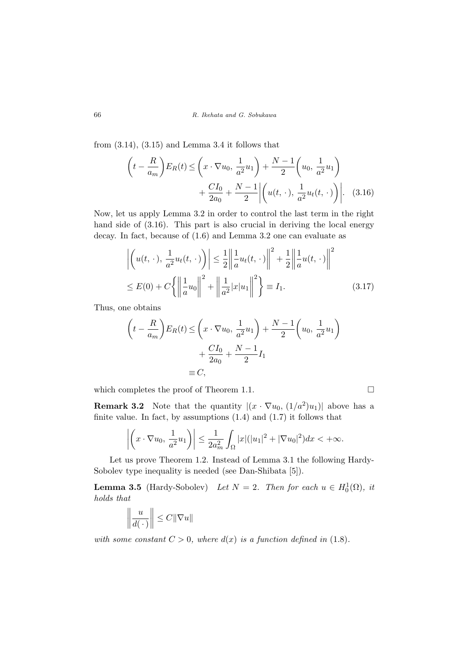from  $(3.14)$ ,  $(3.15)$  and Lemma 3.4 it follows that

$$
\left(t - \frac{R}{a_m}\right) E_R(t) \le \left(x \cdot \nabla u_0, \frac{1}{a^2} u_1\right) + \frac{N - 1}{2} \left(u_0, \frac{1}{a^2} u_1\right) + \frac{CI_0}{2a_0} + \frac{N - 1}{2} \left| \left(u(t, \cdot), \frac{1}{a^2} u_t(t, \cdot)\right) \right|.
$$
 (3.16)

Now, let us apply Lemma 3.2 in order to control the last term in the right hand side of (3.16). This part is also crucial in deriving the local energy decay. In fact, because of (1.6) and Lemma 3.2 one can evaluate as

$$
\left| \left( u(t, \cdot), \frac{1}{a^2} u_t(t, \cdot) \right) \right| \leq \frac{1}{2} \left\| \frac{1}{a} u_t(t, \cdot) \right\|^2 + \frac{1}{2} \left\| \frac{1}{a} u(t, \cdot) \right\|^2
$$
  
\n
$$
\leq E(0) + C \left\{ \left\| \frac{1}{a} u_0 \right\|^2 + \left\| \frac{1}{a^2} |x| u_1 \right\|^2 \right\} \equiv I_1.
$$
\n(3.17)

Thus, one obtains

$$
\left(t - \frac{R}{a_m}\right) E_R(t) \le \left(x \cdot \nabla u_0, \frac{1}{a^2} u_1\right) + \frac{N - 1}{2} \left(u_0, \frac{1}{a^2} u_1\right) + \frac{CI_0}{2a_0} + \frac{N - 1}{2} I_1
$$

$$
\equiv C,
$$

which completes the proof of Theorem 1.1.  $\Box$ 

**Remark 3.2** Note that the quantity  $|(x \cdot \nabla u_0, (1/a^2)u_1)|$  above has a finite value. In fact, by assumptions  $(1.4)$  and  $(1.7)$  it follows that

$$
\left| \left( x \cdot \nabla u_0, \frac{1}{a^2} u_1 \right) \right| \leq \frac{1}{2a_m^2} \int_{\Omega} |x| (|u_1|^2 + |\nabla u_0|^2) dx < +\infty.
$$

Let us prove Theorem 1.2. Instead of Lemma 3.1 the following Hardy-Sobolev type inequality is needed (see Dan-Shibata [5]).

**Lemma 3.5** (Hardy-Sobolev) Let  $N = 2$ . Then for each  $u \in H_0^1(\Omega)$ , it holds that ∵<br>∪ °

$$
\left\|\frac{u}{d(\,\cdot\,)}\right\|\leq C\|\nabla u\|
$$

with some constant  $C > 0$ , where  $d(x)$  is a function defined in (1.8).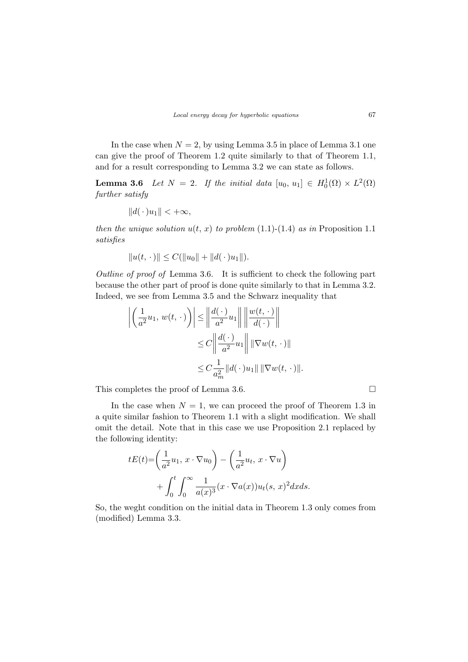In the case when  $N = 2$ , by using Lemma 3.5 in place of Lemma 3.1 one can give the proof of Theorem 1.2 quite similarly to that of Theorem 1.1, and for a result corresponding to Lemma 3.2 we can state as follows.

**Lemma 3.6** Let  $N = 2$ . If the initial data  $[u_0, u_1] \in H_0^1(\Omega) \times L^2(\Omega)$ further satisfy

$$
||d(\,\cdot\,)u_1|| < +\infty,
$$

then the unique solution  $u(t, x)$  to problem (1.1)-(1.4) as in Proposition 1.1 satisfies

$$
||u(t, \cdot)|| \leq C(||u_0|| + ||d(\cdot)u_1||).
$$

Outline of proof of Lemma 3.6. It is sufficient to check the following part because the other part of proof is done quite similarly to that in Lemma 3.2. Indeed, we see from Lemma 3.5 and the Schwarz inequality that

$$
\left| \left( \frac{1}{a^2} u_1, w(t, \cdot) \right) \right| \le \left\| \frac{d(\cdot)}{a^2} u_1 \right\| \left\| \frac{w(t, \cdot)}{d(\cdot)} \right\|
$$
  

$$
\le C \left\| \frac{d(\cdot)}{a^2} u_1 \right\| \left\| \nabla w(t, \cdot) \right\|
$$
  

$$
\le C \frac{1}{a_m^2} \|d(\cdot)u_1\| \left\| \nabla w(t, \cdot) \right\|.
$$

This completes the proof of Lemma 3.6.  $\Box$ 

In the case when  $N = 1$ , we can proceed the proof of Theorem 1.3 in a quite similar fashion to Theorem 1.1 with a slight modification. We shall omit the detail. Note that in this case we use Proposition 2.1 replaced by the following identity:

$$
tE(t) = \left(\frac{1}{a^2}u_1, x \cdot \nabla u_0\right) - \left(\frac{1}{a^2}u_t, x \cdot \nabla u\right)
$$

$$
+ \int_0^t \int_0^\infty \frac{1}{a(x)^3} (x \cdot \nabla a(x))u_t(s, x)^2 dx ds.
$$

So, the weght condition on the initial data in Theorem 1.3 only comes from (modified) Lemma 3.3.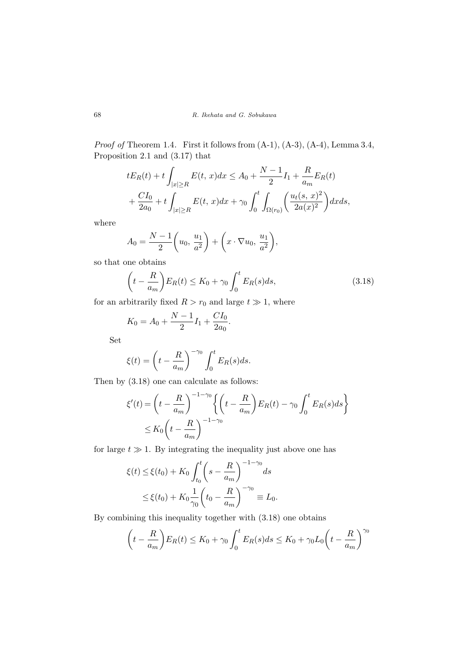Proof of Theorem 1.4. First it follows from  $(A-1)$ ,  $(A-3)$ ,  $(A-4)$ , Lemma 3.4, Proposition 2.1 and (3.17) that

$$
tE_R(t) + t \int_{|x| \ge R} E(t, x) dx \le A_0 + \frac{N-1}{2} I_1 + \frac{R}{a_m} E_R(t)
$$
  
+ 
$$
\frac{CI_0}{2a_0} + t \int_{|x| \ge R} E(t, x) dx + \gamma_0 \int_0^t \int_{\Omega(r_0)} \left( \frac{u_t(s, x)^2}{2a(x)^2} \right) dx ds,
$$

where

$$
A_0 = \frac{N-1}{2} \left( u_0, \frac{u_1}{a^2} \right) + \left( x \cdot \nabla u_0, \frac{u_1}{a^2} \right),
$$

so that one obtains

$$
\left(t - \frac{R}{a_m}\right) E_R(t) \le K_0 + \gamma_0 \int_0^t E_R(s) ds, \tag{3.18}
$$

for an arbitrarily fixed  $R > r_0$  and large  $t \gg 1$ , where

$$
K_0 = A_0 + \frac{N-1}{2}I_1 + \frac{CI_0}{2a_0}.
$$

Set

$$
\xi(t) = \left(t - \frac{R}{a_m}\right)^{-\gamma_0} \int_0^t E_R(s)ds.
$$

Then by (3.18) one can calculate as follows:

$$
\xi'(t) = \left(t - \frac{R}{a_m}\right)^{-1-\gamma_0} \left\{ \left(t - \frac{R}{a_m}\right) E_R(t) - \gamma_0 \int_0^t E_R(s)ds \right\}
$$
  

$$
\leq K_0 \left(t - \frac{R}{a_m}\right)^{-1-\gamma_0}
$$

for large  $t \gg 1$ . By integrating the inequality just above one has

$$
\xi(t) \le \xi(t_0) + K_0 \int_{t_0}^t \left(s - \frac{R}{a_m}\right)^{-1-\gamma_0} ds
$$
  
 
$$
\le \xi(t_0) + K_0 \frac{1}{\gamma_0} \left(t_0 - \frac{R}{a_m}\right)^{-\gamma_0} \equiv L_0.
$$

By combining this inequality together with (3.18) one obtains

$$
\left(t - \frac{R}{a_m}\right) E_R(t) \le K_0 + \gamma_0 \int_0^t E_R(s) ds \le K_0 + \gamma_0 L_0 \left(t - \frac{R}{a_m}\right)^{\gamma_0}
$$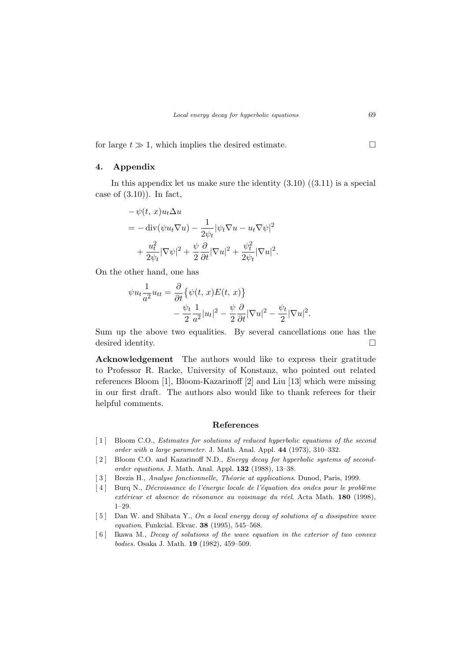for large  $t \gg 1$ , which implies the desired estimate.  $\Box$ 

## 4. Appendix

In this appendix let us make sure the identity  $(3.10)$   $((3.11)$  is a special case of  $(3.10)$ ). In fact,

$$
-\psi(t, x)u_t\Delta u
$$
  
=  $-\operatorname{div}(\psi u_t \nabla u) - \frac{1}{2\psi_t} |\psi_t \nabla u - u_t \nabla \psi|^2$   
+  $\frac{u_t^2}{2\psi_t} |\nabla \psi|^2 + \frac{\psi}{2} \frac{\partial}{\partial t} |\nabla u|^2 + \frac{\psi_t^2}{2\psi_t} |\nabla u|^2.$ 

On the other hand, one has

∂

$$
\psi u_t \frac{1}{a^2} u_{tt} = \frac{\partial}{\partial t} \{ \psi(t, x) E(t, x) \} - \frac{\psi_t}{2} \frac{1}{a^2} |u_t|^2 - \frac{\psi}{2} \frac{\partial}{\partial t} |\nabla u|^2 - \frac{\psi_t}{2} |\nabla u|^2.
$$

Sum up the above two equalities. By several cancellations one has the desired identity.  $\Box$ 

Acknowledgement The authors would like to express their gratitude to Professor R. Racke, University of Konstanz, who pointed out related references Bloom [1], Bloom-Kazarinoff [2] and Liu [13] which were missing in our first draft. The authors also would like to thank referees for their helpful comments.

#### References

- [1] Bloom C.O., *Estimates for solutions of reduced hyperbolic equations of the second* order with a large parameter. J. Math. Anal. Appl. 44 (1973), 310–332.
- [2] Bloom C.O. and Kazarinoff N.D., *Energy decay for hyperbolic systems of second*order equations. J. Math. Anal. Appl. 132 (1988), 13–38.
- [3] Brezis H., Analyse fonctionnelle, Théorie at applications. Dunod, Paris, 1999.
- [4] Burq N., *Décroissance de l'énergie locale de l'équation des ondes pour le problème* extérieur et absence de résonance au voisinage du réel. Acta Math. 180 (1998), 1–29.
- $[5]$  Dan W. and Shibata Y., On a local energy decay of solutions of a dissipative wave equation. Funkcial. Ekvac. 38 (1995), 545–568.
- [ 6 ] Ikawa M., Decay of solutions of the wave equation in the exterior of two convex bodies. Osaka J. Math. 19 (1982), 459–509.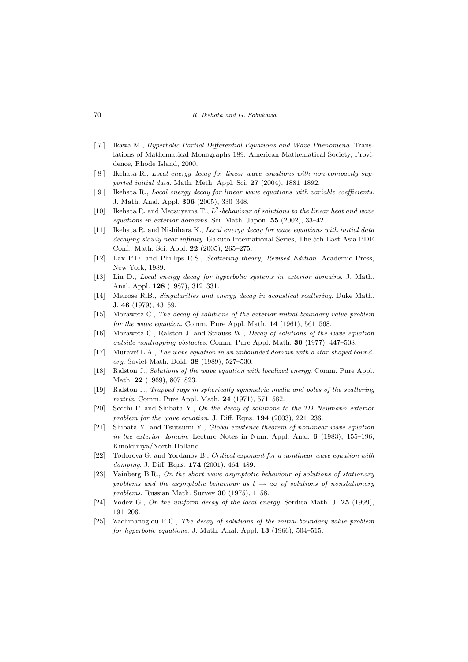#### 70 R. Ikehata and G. Sobukawa

- [ 7 ] Ikawa M., Hyperbolic Partial Differential Equations and Wave Phenomena. Translations of Mathematical Monographs 189, American Mathematical Society, Providence, Rhode Island, 2000.
- [ 8 ] Ikehata R., Local energy decay for linear wave equations with non-compactly supported initial data. Math. Meth. Appl. Sci. 27 (2004), 1881–1892.
- [ 9 ] Ikehata R., Local energy decay for linear wave equations with variable coefficients. J. Math. Anal. Appl. 306 (2005), 330–348.
- [10] Ikehata R. and Matsuyama T.,  $L^2$ -behaviour of solutions to the linear heat and wave equations in exterior domains. Sci. Math. Japon. 55 (2002), 33–42.
- [11] Ikehata R. and Nishihara K., Local energy decay for wave equations with initial data decaying slowly near infinity. Gakuto International Series, The 5th East Asia PDE Conf., Math. Sci. Appl. 22 (2005), 265–275.
- [12] Lax P.D. and Phillips R.S., Scattering theory, Revised Edition. Academic Press, New York, 1989.
- [13] Liu D., Local energy decay for hyperbolic systems in exterior domains. J. Math. Anal. Appl. 128 (1987), 312–331.
- [14] Melrose R.B., Singularities and energy decay in acoustical scattering. Duke Math. J. 46 (1979), 43–59.
- [15] Morawetz C., The decay of solutions of the exterior initial-boundary value problem for the wave equation. Comm. Pure Appl. Math. 14 (1961), 561–568.
- [16] Morawetz C., Ralston J. and Strauss W., Decay of solutions of the wave equation outside nontrapping obstacles. Comm. Pure Appl. Math. 30 (1977), 447–508.
- [17] Muraveĭ L.A., The wave equation in an unbounded domain with a star-shaped boundary. Soviet Math. Dokl. 38 (1989), 527–530.
- [18] Ralston J., Solutions of the wave equation with localized energy. Comm. Pure Appl. Math. 22 (1969), 807–823.
- [19] Ralston J., Trapped rays in spherically symmetric media and poles of the scattering matrix. Comm. Pure Appl. Math. 24 (1971), 571–582.
- [20] Secchi P. and Shibata Y., On the decay of solutions to the 2D Neumann exterior problem for the wave equation. J. Diff. Eqns.  $194$  (2003), 221-236.
- [21] Shibata Y. and Tsutsumi Y., Global existence theorem of nonlinear wave equation in the exterior domain. Lecture Notes in Num. Appl. Anal.  $6$  (1983), 155–196, Kinokuniya/North-Holland.
- [22] Todorova G. and Yordanov B., Critical exponent for a nonlinear wave equation with damping. J. Diff. Eqns. **174** (2001), 464-489.
- [23] Vainberg B.R., On the short wave asymptotic behaviour of solutions of stationary problems and the asymptotic behaviour as  $t \to \infty$  of solutions of nonstationary problems. Russian Math. Survey 30 (1975), 1–58.
- [24] Vodev G., On the uniform decay of the local energy. Serdica Math. J. 25 (1999), 191–206.
- [25] Zachmanoglou E.C., The decay of solutions of the initial-boundary value problem for hyperbolic equations. J. Math. Anal. Appl. **13** (1966), 504–515.